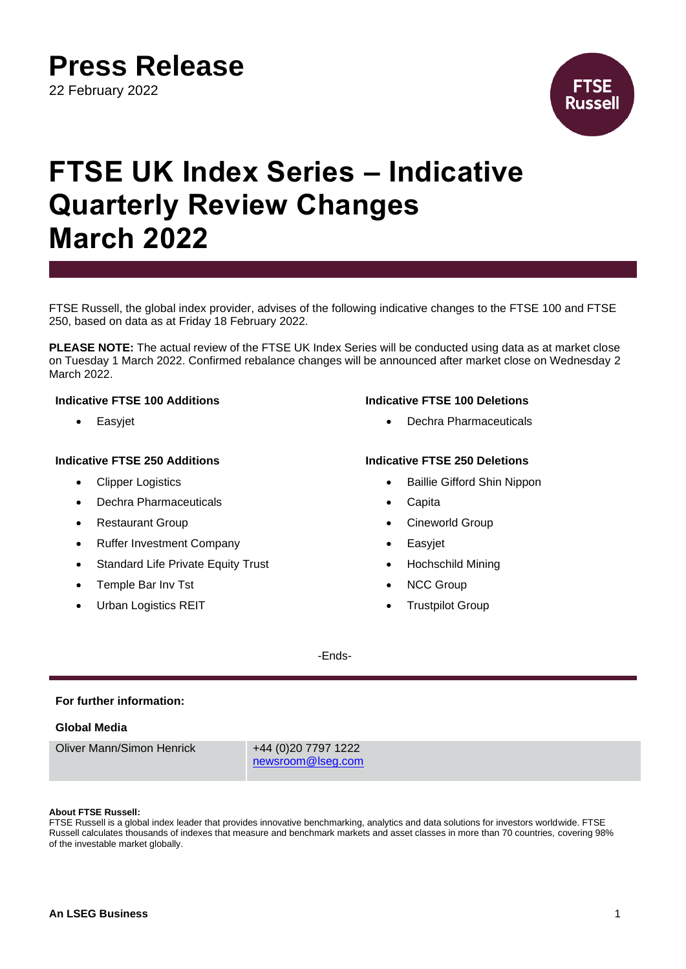**Press Release**

22 February 2022



# **FTSE UK Index Series – Indicative Quarterly Review Changes March 2022**

FTSE Russell, the global index provider, advises of the following indicative changes to the FTSE 100 and FTSE 250, based on data as at Friday 18 February 2022.

**PLEASE NOTE:** The actual review of the FTSE UK Index Series will be conducted using data as at market close on Tuesday 1 March 2022. Confirmed rebalance changes will be announced after market close on Wednesday 2 March 2022.

## **Indicative FTSE 250 Additions Indicative FTSE 250 Deletions**

- **Clipper Logistics**
- Dechra Pharmaceuticals
- **Restaurant Group**
- Ruffer Investment Company
- Standard Life Private Equity Trust
- Temple Bar Inv Tst
- Urban Logistics REIT

### **Indicative FTSE 100 Additions Indicative FTSE 100 Deletions**

• Easyjet • Cassing Fassing Pharmaceuticals

- Baillie Gifford Shin Nippon
- **Capita**
- Cineworld Group
- **Easyjet**
- Hochschild Mining
- **NCC Group**
- **Trustpilot Group**

-Ends-

### **For further information:**

### **Global Media**

Oliver Mann/Simon Henrick +44 (0)20 7797 1222

[newsroom@lseg.com](mailto:newsroom@lseg.com)

### **About FTSE Russell:**

FTSE Russell is a global index leader that provides innovative benchmarking, analytics and data solutions for investors worldwide. FTSE Russell calculates thousands of indexes that measure and benchmark markets and asset classes in more than 70 countries, covering 98% of the investable market globally.